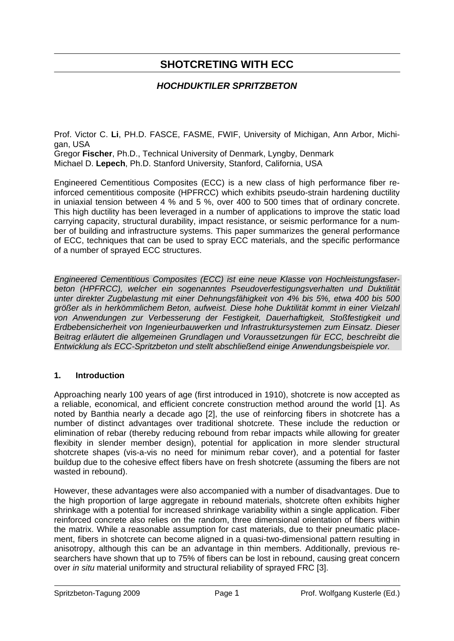# **SHOTCRETING WITH ECC**

# *HOCHDUKTILER SPRITZBETON*

Prof. Victor C. **Li**, PH.D. FASCE, FASME, FWIF, University of Michigan, Ann Arbor, Michigan, USA Gregor **Fischer**, Ph.D., Technical University of Denmark, Lyngby, Denmark Michael D. **Lepech**, Ph.D. Stanford University, Stanford, California, USA

Engineered Cementitious Composites (ECC) is a new class of high performance fiber reinforced cementitious composite (HPFRCC) which exhibits pseudo-strain hardening ductility in uniaxial tension between 4 % and 5 %, over 400 to 500 times that of ordinary concrete. This high ductility has been leveraged in a number of applications to improve the static load carrying capacity, structural durability, impact resistance, or seismic performance for a number of building and infrastructure systems. This paper summarizes the general performance of ECC, techniques that can be used to spray ECC materials, and the specific performance of a number of sprayed ECC structures.

*Engineered Cementitious Composites (ECC) ist eine neue Klasse von Hochleistungsfaserbeton (HPFRCC), welcher ein sogenanntes Pseudoverfestigungsverhalten und Duktilität unter direkter Zugbelastung mit einer Dehnungsfähigkeit von 4% bis 5%, etwa 400 bis 500 größer als in herkömmlichem Beton, aufweist. Diese hohe Duktilität kommt in einer Vielzahl von Anwendungen zur Verbesserung der Festigkeit, Dauerhaftigkeit, Stoßfestigkeit und Erdbebensicherheit von Ingenieurbauwerken und Infrastruktursystemen zum Einsatz. Dieser Beitrag erläutert die allgemeinen Grundlagen und Voraussetzungen für ECC, beschreibt die Entwicklung als ECC-Spritzbeton und stellt abschließend einige Anwendungsbeispiele vor.* 

### **1. Introduction**

Approaching nearly 100 years of age (first introduced in 1910), shotcrete is now accepted as a reliable, economical, and efficient concrete construction method around the world [1]. As noted by Banthia nearly a decade ago [2], the use of reinforcing fibers in shotcrete has a number of distinct advantages over traditional shotcrete. These include the reduction or elimination of rebar (thereby reducing rebound from rebar impacts while allowing for greater flexibity in slender member design), potential for application in more slender structural shotcrete shapes (vis-a-vis no need for minimum rebar cover), and a potential for faster buildup due to the cohesive effect fibers have on fresh shotcrete (assuming the fibers are not wasted in rebound).

However, these advantages were also accompanied with a number of disadvantages. Due to the high proportion of large aggregate in rebound materials, shotcrete often exhibits higher shrinkage with a potential for increased shrinkage variability within a single application. Fiber reinforced concrete also relies on the random, three dimensional orientation of fibers within the matrix. While a reasonable assumption for cast materials, due to their pneumatic placement, fibers in shotcrete can become aligned in a quasi-two-dimensional pattern resulting in anisotropy, although this can be an advantage in thin members. Additionally, previous researchers have shown that up to 75% of fibers can be lost in rebound, causing great concern over *in situ* material uniformity and structural reliability of sprayed FRC [3].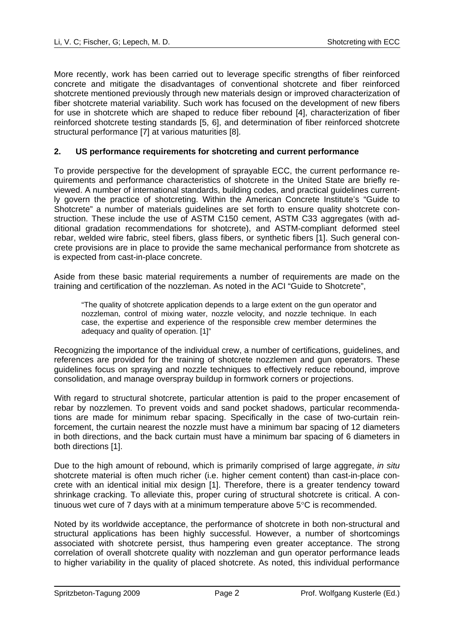More recently, work has been carried out to leverage specific strengths of fiber reinforced concrete and mitigate the disadvantages of conventional shotcrete and fiber reinforced shotcrete mentioned previously through new materials design or improved characterization of fiber shotcrete material variability. Such work has focused on the development of new fibers for use in shotcrete which are shaped to reduce fiber rebound [4], characterization of fiber reinforced shotcrete testing standards [5, 6], and determination of fiber reinforced shotcrete structural performance [7] at various maturities [8].

### **2. US performance requirements for shotcreting and current performance**

To provide perspective for the development of sprayable ECC, the current performance requirements and performance characteristics of shotcrete in the United State are briefly reviewed. A number of international standards, building codes, and practical guidelines currently govern the practice of shotcreting. Within the American Concrete Institute's "Guide to Shotcrete" a number of materials guidelines are set forth to ensure quality shotcrete construction. These include the use of ASTM C150 cement, ASTM C33 aggregates (with additional gradation recommendations for shotcrete), and ASTM-compliant deformed steel rebar, welded wire fabric, steel fibers, glass fibers, or synthetic fibers [1]. Such general concrete provisions are in place to provide the same mechanical performance from shotcrete as is expected from cast-in-place concrete.

Aside from these basic material requirements a number of requirements are made on the training and certification of the nozzleman. As noted in the ACI "Guide to Shotcrete",

"The quality of shotcrete application depends to a large extent on the gun operator and nozzleman, control of mixing water, nozzle velocity, and nozzle technique. In each case, the expertise and experience of the responsible crew member determines the adequacy and quality of operation. [1]"

Recognizing the importance of the individual crew, a number of certifications, guidelines, and references are provided for the training of shotcrete nozzlemen and gun operators. These guidelines focus on spraying and nozzle techniques to effectively reduce rebound, improve consolidation, and manage overspray buildup in formwork corners or projections.

With regard to structural shotcrete, particular attention is paid to the proper encasement of rebar by nozzlemen. To prevent voids and sand pocket shadows, particular recommendations are made for minimum rebar spacing. Specifically in the case of two-curtain reinforcement, the curtain nearest the nozzle must have a minimum bar spacing of 12 diameters in both directions, and the back curtain must have a minimum bar spacing of 6 diameters in both directions [1].

Due to the high amount of rebound, which is primarily comprised of large aggregate, *in situ* shotcrete material is often much richer (i.e. higher cement content) than cast-in-place concrete with an identical initial mix design [1]. Therefore, there is a greater tendency toward shrinkage cracking. To alleviate this, proper curing of structural shotcrete is critical. A continuous wet cure of 7 days with at a minimum temperature above 5°C is recommended.

Noted by its worldwide acceptance, the performance of shotcrete in both non-structural and structural applications has been highly successful. However, a number of shortcomings associated with shotcrete persist, thus hampering even greater acceptance. The strong correlation of overall shotcrete quality with nozzleman and gun operator performance leads to higher variability in the quality of placed shotcrete. As noted, this individual performance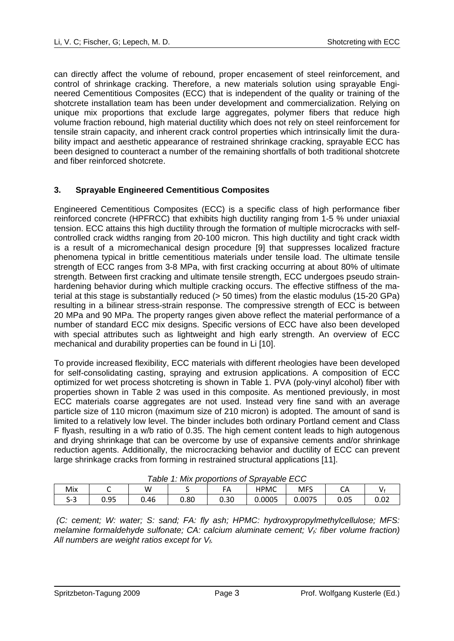can directly affect the volume of rebound, proper encasement of steel reinforcement, and control of shrinkage cracking. Therefore, a new materials solution using sprayable Engineered Cementitious Composites (ECC) that is independent of the quality or training of the shotcrete installation team has been under development and commercialization. Relying on unique mix proportions that exclude large aggregates, polymer fibers that reduce high volume fraction rebound, high material ductility which does not rely on steel reinforcement for tensile strain capacity, and inherent crack control properties which intrinsically limit the durability impact and aesthetic appearance of restrained shrinkage cracking, sprayable ECC has been designed to counteract a number of the remaining shortfalls of both traditional shotcrete and fiber reinforced shotcrete.

### **3. Sprayable Engineered Cementitious Composites**

Engineered Cementitious Composites (ECC) is a specific class of high performance fiber reinforced concrete (HPFRCC) that exhibits high ductility ranging from 1-5 % under uniaxial tension. ECC attains this high ductility through the formation of multiple microcracks with selfcontrolled crack widths ranging from 20-100 micron. This high ductility and tight crack width is a result of a micromechanical design procedure [9] that suppresses localized fracture phenomena typical in brittle cementitious materials under tensile load. The ultimate tensile strength of ECC ranges from 3-8 MPa, with first cracking occurring at about 80% of ultimate strength. Between first cracking and ultimate tensile strength, ECC undergoes pseudo strainhardening behavior during which multiple cracking occurs. The effective stiffness of the material at this stage is substantially reduced (> 50 times) from the elastic modulus (15-20 GPa) resulting in a bilinear stress-strain response. The compressive strength of ECC is between 20 MPa and 90 MPa. The property ranges given above reflect the material performance of a number of standard ECC mix designs. Specific versions of ECC have also been developed with special attributes such as lightweight and high early strength. An overview of ECC mechanical and durability properties can be found in Li [10].

To provide increased flexibility, ECC materials with different rheologies have been developed for self-consolidating casting, spraying and extrusion applications. A composition of ECC optimized for wet process shotcreting is shown in Table 1. PVA (poly-vinyl alcohol) fiber with properties shown in Table 2 was used in this composite. As mentioned previously, in most ECC materials coarse aggregates are not used. Instead very fine sand with an average particle size of 110 micron (maximum size of 210 micron) is adopted. The amount of sand is limited to a relatively low level. The binder includes both ordinary Portland cement and Class F flyash, resulting in a w/b ratio of 0.35. The high cement content leads to high autogenous and drying shrinkage that can be overcome by use of expansive cements and/or shrinkage reduction agents. Additionally, the microcracking behavior and ductility of ECC can prevent large shrinkage cracks from forming in restrained structural applications [11].

| avie<br><b><i>IVIIX DIODOLIJOHS OF SPIRAVADJE EUU</i></b> |      |      |      |      |        |        |      |      |  |  |  |  |
|-----------------------------------------------------------|------|------|------|------|--------|--------|------|------|--|--|--|--|
| Mix                                                       |      | W    |      |      | HPMC   | MFS    |      |      |  |  |  |  |
| <b>CO</b><br><b>.</b> - 3                                 | 0.95 | 0.46 | 0.80 | 0.30 | 0.0005 | 0.0075 | 0.05 | 0.02 |  |  |  |  |

*Table 1: Mix proportions of Sprayable ECC* 

 *(C: cement; W: water; S: sand; FA: fly ash; HPMC: hydroxypropylmethylcellulose; MFS: melamine formaldehyde sulfonate; CA: calcium aluminate cement; V<sub>f:</sub> fiber volume fraction) All numbers are weight ratios except for Vf.*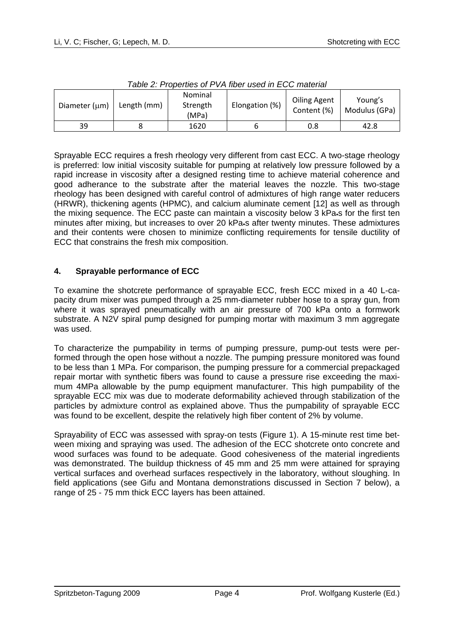| l able 2: Properties of PVA fiber used in ECC material |             |                              |                |                             |                          |  |  |  |  |  |
|--------------------------------------------------------|-------------|------------------------------|----------------|-----------------------------|--------------------------|--|--|--|--|--|
| Diameter $(\mu m)$                                     | Length (mm) | Nominal<br>Strength<br>(MPa) | Elongation (%) | Oiling Agent<br>Content (%) | Young's<br>Modulus (GPa) |  |  |  |  |  |
| 39                                                     |             | 1620                         | b              | 0.8                         | 42.8                     |  |  |  |  |  |

*Table 2: Properties of PVA fiber used in ECC material* 

Sprayable ECC requires a fresh rheology very different from cast ECC. A two-stage rheology is preferred: low initial viscosity suitable for pumping at relatively low pressure followed by a rapid increase in viscosity after a designed resting time to achieve material coherence and good adherance to the substrate after the material leaves the nozzle. This two-stage rheology has been designed with careful control of admixtures of high range water reducers (HRWR), thickening agents (HPMC), and calcium aluminate cement [12] as well as through the mixing sequence. The ECC paste can maintain a viscosity below 3 kPa•s for the first ten minutes after mixing, but increases to over 20 kPa•s after twenty minutes. These admixtures and their contents were chosen to minimize conflicting requirements for tensile ductility of ECC that constrains the fresh mix composition.

### **4. Sprayable performance of ECC**

To examine the shotcrete performance of sprayable ECC, fresh ECC mixed in a 40 L-capacity drum mixer was pumped through a 25 mm-diameter rubber hose to a spray gun, from where it was sprayed pneumatically with an air pressure of 700 kPa onto a formwork substrate. A N2V spiral pump designed for pumping mortar with maximum 3 mm aggregate was used.

To characterize the pumpability in terms of pumping pressure, pump-out tests were performed through the open hose without a nozzle. The pumping pressure monitored was found to be less than 1 MPa. For comparison, the pumping pressure for a commercial prepackaged repair mortar with synthetic fibers was found to cause a pressure rise exceeding the maximum 4MPa allowable by the pump equipment manufacturer. This high pumpability of the sprayable ECC mix was due to moderate deformability achieved through stabilization of the particles by admixture control as explained above. Thus the pumpability of sprayable ECC was found to be excellent, despite the relatively high fiber content of 2% by volume.

Sprayability of ECC was assessed with spray-on tests (Figure 1). A 15-minute rest time between mixing and spraying was used. The adhesion of the ECC shotcrete onto concrete and wood surfaces was found to be adequate. Good cohesiveness of the material ingredients was demonstrated. The buildup thickness of 45 mm and 25 mm were attained for spraying vertical surfaces and overhead surfaces respectively in the laboratory, without sloughing. In field applications (see Gifu and Montana demonstrations discussed in Section 7 below), a range of 25 - 75 mm thick ECC layers has been attained.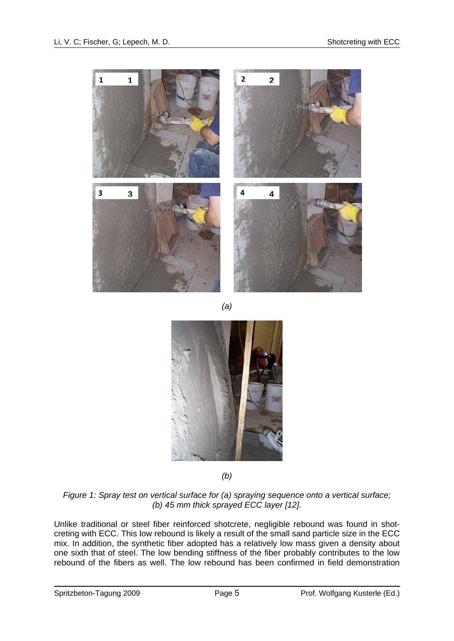

*(a)* 



*(b)* 

*Figure 1: Spray test on vertical surface for (a) spraying sequence onto a vertical surface; (b) 45 mm thick sprayed ECC layer [12].* 

Unlike traditional or steel fiber reinforced shotcrete, negligible rebound was found in shotcreting with ECC. This low rebound is likely a result of the small sand particle size in the ECC mix. In addition, the synthetic fiber adopted has a relatively low mass given a density about one sixth that of steel. The low bending stiffness of the fiber probably contributes to the low rebound of the fibers as well. The low rebound has been confirmed in field demonstration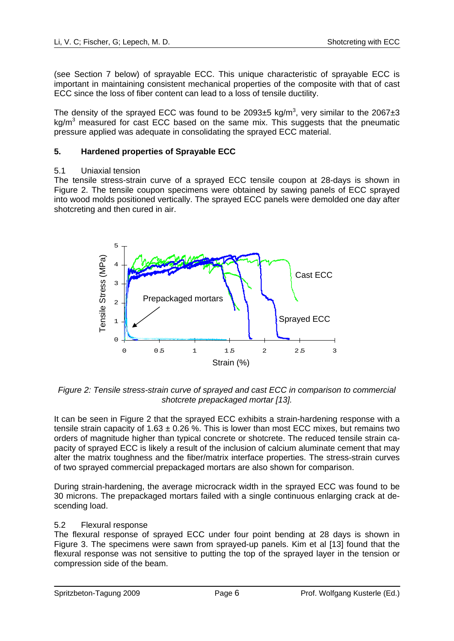(see Section 7 below) of sprayable ECC. This unique characteristic of sprayable ECC is important in maintaining consistent mechanical properties of the composite with that of cast ECC since the loss of fiber content can lead to a loss of tensile ductility.

The density of the sprayed ECC was found to be 2093 $\pm$ 5 kg/m<sup>3</sup>, very similar to the 2067 $\pm$ 3 kg/ $m<sup>3</sup>$  measured for cast ECC based on the same mix. This suggests that the pneumatic pressure applied was adequate in consolidating the sprayed ECC material.

### **5. Hardened properties of Sprayable ECC**

### 5.1 Uniaxial tension

The tensile stress-strain curve of a sprayed ECC tensile coupon at 28-days is shown in Figure 2. The tensile coupon specimens were obtained by sawing panels of ECC sprayed into wood molds positioned vertically. The sprayed ECC panels were demolded one day after shotcreting and then cured in air.



*Figure 2: Tensile stress-strain curve of sprayed and cast ECC in comparison to commercial shotcrete prepackaged mortar [13].* 

It can be seen in Figure 2 that the sprayed ECC exhibits a strain-hardening response with a tensile strain capacity of  $1.63 \pm 0.26$  %. This is lower than most ECC mixes, but remains two orders of magnitude higher than typical concrete or shotcrete. The reduced tensile strain capacity of sprayed ECC is likely a result of the inclusion of calcium aluminate cement that may alter the matrix toughness and the fiber/matrix interface properties. The stress-strain curves of two sprayed commercial prepackaged mortars are also shown for comparison.

During strain-hardening, the average microcrack width in the sprayed ECC was found to be 30 microns. The prepackaged mortars failed with a single continuous enlarging crack at descending load.

### 5.2 Flexural response

The flexural response of sprayed ECC under four point bending at 28 days is shown in Figure 3. The specimens were sawn from sprayed-up panels. Kim et al [13] found that the flexural response was not sensitive to putting the top of the sprayed layer in the tension or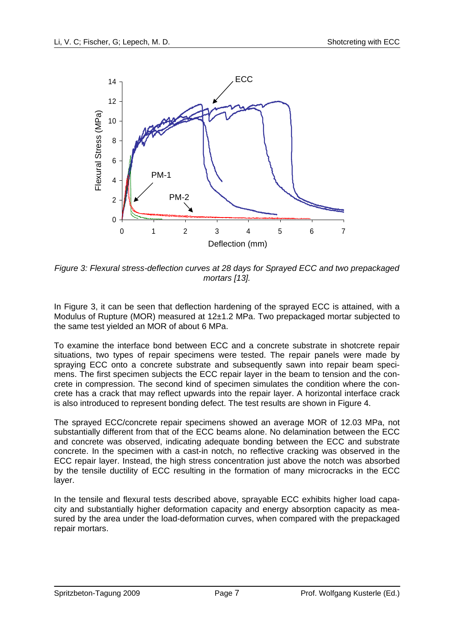

*Figure 3: Flexural stress-deflection curves at 28 days for Sprayed ECC and two prepackaged mortars [13].* 

In Figure 3, it can be seen that deflection hardening of the sprayed ECC is attained, with a Modulus of Rupture (MOR) measured at 12±1.2 MPa. Two prepackaged mortar subjected to the same test yielded an MOR of about 6 MPa.

To examine the interface bond between ECC and a concrete substrate in shotcrete repair situations, two types of repair specimens were tested. The repair panels were made by spraying ECC onto a concrete substrate and subsequently sawn into repair beam specimens. The first specimen subjects the ECC repair layer in the beam to tension and the concrete in compression. The second kind of specimen simulates the condition where the concrete has a crack that may reflect upwards into the repair layer. A horizontal interface crack is also introduced to represent bonding defect. The test results are shown in Figure 4.

The sprayed ECC/concrete repair specimens showed an average MOR of 12.03 MPa, not substantially different from that of the ECC beams alone. No delamination between the ECC and concrete was observed, indicating adequate bonding between the ECC and substrate concrete. In the specimen with a cast-in notch, no reflective cracking was observed in the ECC repair layer. Instead, the high stress concentration just above the notch was absorbed by the tensile ductility of ECC resulting in the formation of many microcracks in the ECC layer.

In the tensile and flexural tests described above, sprayable ECC exhibits higher load capacity and substantially higher deformation capacity and energy absorption capacity as measured by the area under the load-deformation curves, when compared with the prepackaged repair mortars.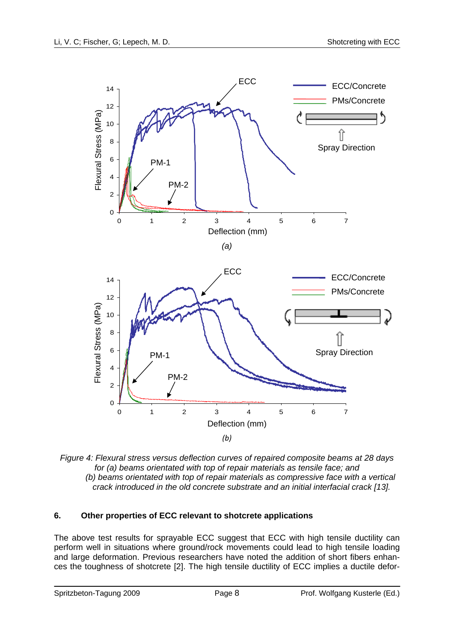

*Figure 4: Flexural stress versus deflection curves of repaired composite beams at 28 days for (a) beams orientated with top of repair materials as tensile face; and (b) beams orientated with top of repair materials as compressive face with a vertical crack introduced in the old concrete substrate and an initial interfacial crack [13].* 

# **6. Other properties of ECC relevant to shotcrete applications**

The above test results for sprayable ECC suggest that ECC with high tensile ductility can perform well in situations where ground/rock movements could lead to high tensile loading and large deformation. Previous researchers have noted the addition of short fibers enhan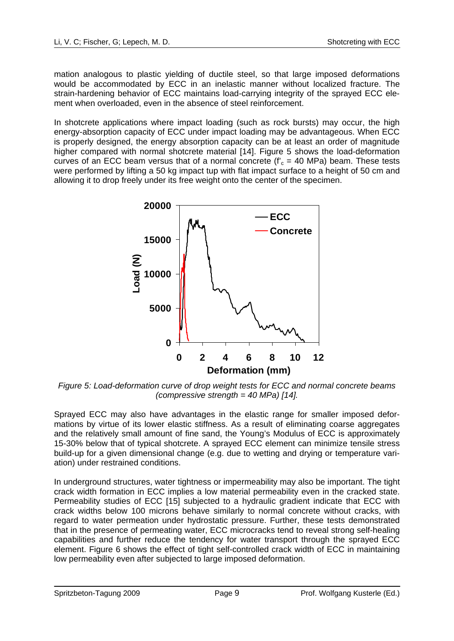mation analogous to plastic yielding of ductile steel, so that large imposed deformations would be accommodated by ECC in an inelastic manner without localized fracture. The strain-hardening behavior of ECC maintains load-carrying integrity of the sprayed ECC element when overloaded, even in the absence of steel reinforcement.

In shotcrete applications where impact loading (such as rock bursts) may occur, the high energy-absorption capacity of ECC under impact loading may be advantageous. When ECC is properly designed, the energy absorption capacity can be at least an order of magnitude higher compared with normal shotcrete material [14]. Figure 5 shows the load-deformation curves of an ECC beam versus that of a normal concrete ( $f_c$  = 40 MPa) beam. These tests were performed by lifting a 50 kg impact tup with flat impact surface to a height of 50 cm and allowing it to drop freely under its free weight onto the center of the specimen.



*Figure 5: Load-deformation curve of drop weight tests for ECC and normal concrete beams (compressive strength = 40 MPa) [14].* 

Sprayed ECC may also have advantages in the elastic range for smaller imposed deformations by virtue of its lower elastic stiffness. As a result of eliminating coarse aggregates and the relatively small amount of fine sand, the Young's Modulus of ECC is approximately 15-30% below that of typical shotcrete. A sprayed ECC element can minimize tensile stress build-up for a given dimensional change (e.g. due to wetting and drying or temperature variation) under restrained conditions.

In underground structures, water tightness or impermeability may also be important. The tight crack width formation in ECC implies a low material permeability even in the cracked state. Permeability studies of ECC [15] subjected to a hydraulic gradient indicate that ECC with crack widths below 100 microns behave similarly to normal concrete without cracks, with regard to water permeation under hydrostatic pressure. Further, these tests demonstrated that in the presence of permeating water, ECC microcracks tend to reveal strong self-healing capabilities and further reduce the tendency for water transport through the sprayed ECC element. Figure 6 shows the effect of tight self-controlled crack width of ECC in maintaining low permeability even after subjected to large imposed deformation.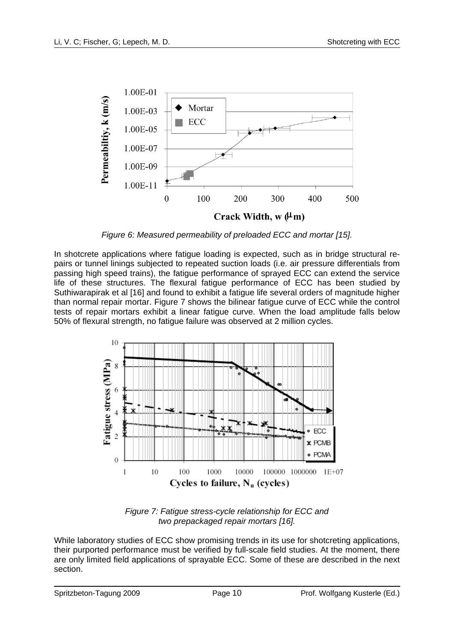

*Figure 6: Measured permeability of preloaded ECC and mortar [15].* 

In shotcrete applications where fatigue loading is expected, such as in bridge structural repairs or tunnel linings subjected to repeated suction loads (i.e. air pressure differentials from passing high speed trains), the fatigue performance of sprayed ECC can extend the service life of these structures. The flexural fatigue performance of ECC has been studied by Suthiwarapirak et al [16] and found to exhibit a fatigue life several orders of magnitude higher than normal repair mortar. Figure 7 shows the bilinear fatigue curve of ECC while the control tests of repair mortars exhibit a linear fatigue curve. When the load amplitude falls below 50% of flexural strength, no fatigue failure was observed at 2 million cycles.



*Figure 7: Fatigue stress-cycle relationship for ECC and two prepackaged repair mortars [16].* 

While laboratory studies of ECC show promising trends in its use for shotcreting applications, their purported performance must be verified by full-scale field studies. At the moment, there are only limited field applications of sprayable ECC. Some of these are described in the next section.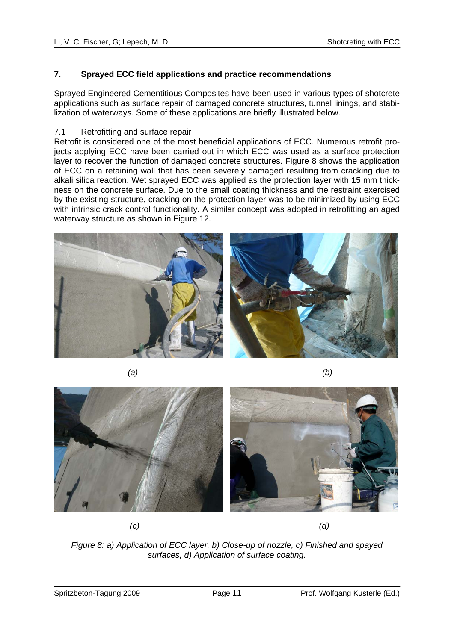# **7. Sprayed ECC field applications and practice recommendations**

Sprayed Engineered Cementitious Composites have been used in various types of shotcrete applications such as surface repair of damaged concrete structures, tunnel linings, and stabilization of waterways. Some of these applications are briefly illustrated below.

### 7.1 Retrofitting and surface repair

Retrofit is considered one of the most beneficial applications of ECC. Numerous retrofit projects applying ECC have been carried out in which ECC was used as a surface protection layer to recover the function of damaged concrete structures. Figure 8 shows the application of ECC on a retaining wall that has been severely damaged resulting from cracking due to alkali silica reaction. Wet sprayed ECC was applied as the protection layer with 15 mm thickness on the concrete surface. Due to the small coating thickness and the restraint exercised by the existing structure, cracking on the protection layer was to be minimized by using ECC with intrinsic crack control functionality. A similar concept was adopted in retrofitting an aged waterway structure as shown in Figure 12.



 *(a) (b)*



*(c) (d)* 

*Figure 8: a) Application of ECC layer, b) Close-up of nozzle, c) Finished and spayed surfaces, d) Application of surface coating.*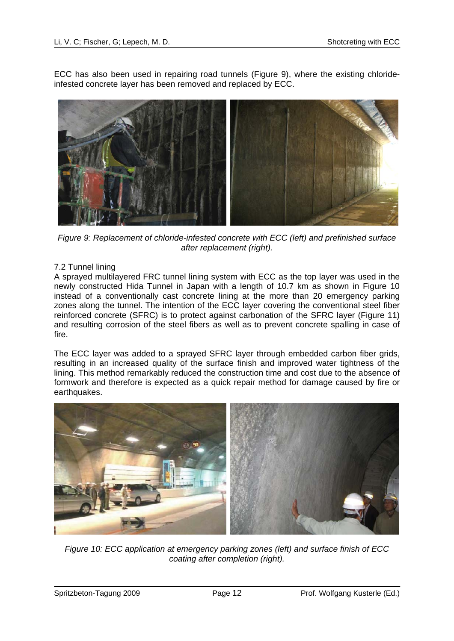ECC has also been used in repairing road tunnels (Figure 9), where the existing chlorideinfested concrete layer has been removed and replaced by ECC.



*Figure 9: Replacement of chloride-infested concrete with ECC (left) and prefinished surface after replacement (right).* 

### 7.2 Tunnel lining

A sprayed multilayered FRC tunnel lining system with ECC as the top layer was used in the newly constructed Hida Tunnel in Japan with a length of 10.7 km as shown in Figure 10 instead of a conventionally cast concrete lining at the more than 20 emergency parking zones along the tunnel. The intention of the ECC layer covering the conventional steel fiber reinforced concrete (SFRC) is to protect against carbonation of the SFRC layer (Figure 11) and resulting corrosion of the steel fibers as well as to prevent concrete spalling in case of fire.

The ECC layer was added to a sprayed SFRC layer through embedded carbon fiber grids, resulting in an increased quality of the surface finish and improved water tightness of the lining. This method remarkably reduced the construction time and cost due to the absence of formwork and therefore is expected as a quick repair method for damage caused by fire or earthquakes.



*Figure 10: ECC application at emergency parking zones (left) and surface finish of ECC coating after completion (right).*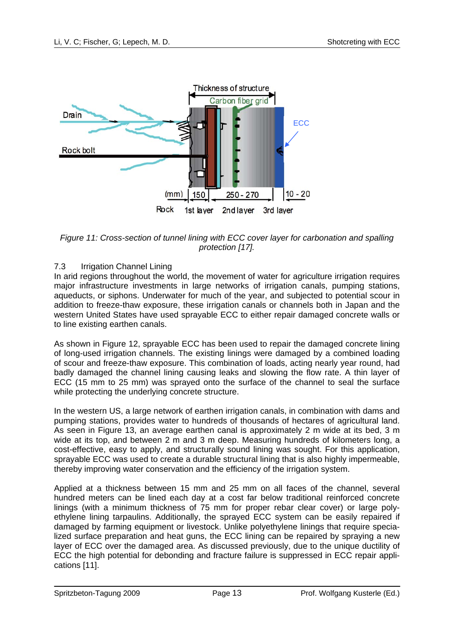

*Figure 11: Cross-section of tunnel lining with ECC cover layer for carbonation and spalling protection [17].* 

### 7.3 Irrigation Channel Lining

In arid regions throughout the world, the movement of water for agriculture irrigation requires major infrastructure investments in large networks of irrigation canals, pumping stations, aqueducts, or siphons. Underwater for much of the year, and subjected to potential scour in addition to freeze-thaw exposure, these irrigation canals or channels both in Japan and the western United States have used sprayable ECC to either repair damaged concrete walls or to line existing earthen canals.

As shown in Figure 12, sprayable ECC has been used to repair the damaged concrete lining of long-used irrigation channels. The existing linings were damaged by a combined loading of scour and freeze-thaw exposure. This combination of loads, acting nearly year round, had badly damaged the channel lining causing leaks and slowing the flow rate. A thin layer of ECC (15 mm to 25 mm) was sprayed onto the surface of the channel to seal the surface while protecting the underlying concrete structure.

In the western US, a large network of earthen irrigation canals, in combination with dams and pumping stations, provides water to hundreds of thousands of hectares of agricultural land. As seen in Figure 13, an average earthen canal is approximately 2 m wide at its bed, 3 m wide at its top, and between 2 m and 3 m deep. Measuring hundreds of kilometers long, a cost-effective, easy to apply, and structurally sound lining was sought. For this application, sprayable ECC was used to create a durable structural lining that is also highly impermeable, thereby improving water conservation and the efficiency of the irrigation system.

Applied at a thickness between 15 mm and 25 mm on all faces of the channel, several hundred meters can be lined each day at a cost far below traditional reinforced concrete linings (with a minimum thickness of 75 mm for proper rebar clear cover) or large polyethylene lining tarpaulins. Additionally, the sprayed ECC system can be easily repaired if damaged by farming equipment or livestock. Unlike polyethylene linings that require specialized surface preparation and heat guns, the ECC lining can be repaired by spraying a new layer of ECC over the damaged area. As discussed previously, due to the unique ductility of ECC the high potential for debonding and fracture failure is suppressed in ECC repair applications [11].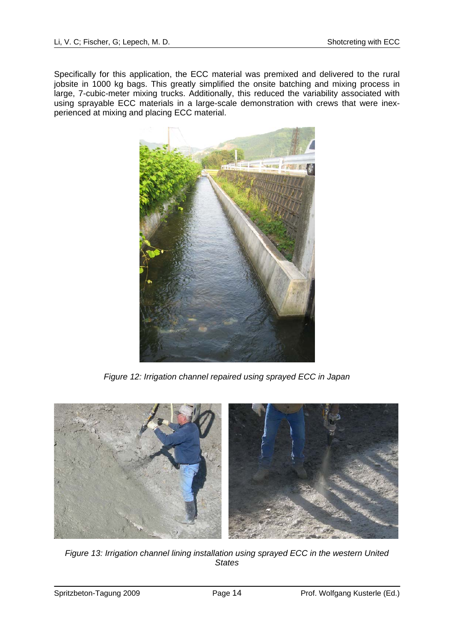Specifically for this application, the ECC material was premixed and delivered to the rural jobsite in 1000 kg bags. This greatly simplified the onsite batching and mixing process in large, 7-cubic-meter mixing trucks. Additionally, this reduced the variability associated with using sprayable ECC materials in a large-scale demonstration with crews that were inexperienced at mixing and placing ECC material.



*Figure 12: Irrigation channel repaired using sprayed ECC in Japan* 



*Figure 13: Irrigation channel lining installation using sprayed ECC in the western United States*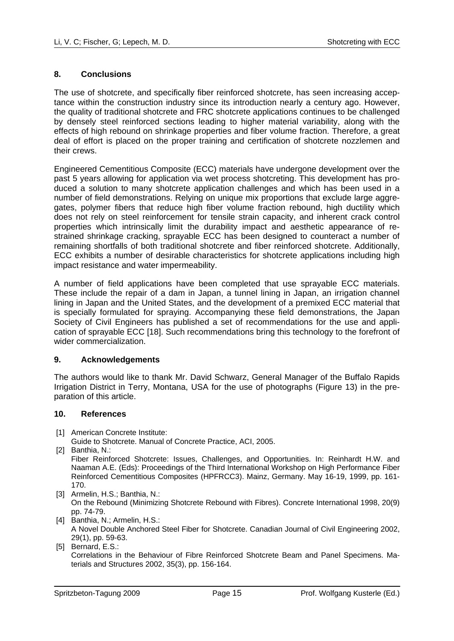### **8. Conclusions**

The use of shotcrete, and specifically fiber reinforced shotcrete, has seen increasing acceptance within the construction industry since its introduction nearly a century ago. However, the quality of traditional shotcrete and FRC shotcrete applications continues to be challenged by densely steel reinforced sections leading to higher material variability, along with the effects of high rebound on shrinkage properties and fiber volume fraction. Therefore, a great deal of effort is placed on the proper training and certification of shotcrete nozzlemen and their crews.

Engineered Cementitious Composite (ECC) materials have undergone development over the past 5 years allowing for application via wet process shotcreting. This development has produced a solution to many shotcrete application challenges and which has been used in a number of field demonstrations. Relying on unique mix proportions that exclude large aggregates, polymer fibers that reduce high fiber volume fraction rebound, high ductility which does not rely on steel reinforcement for tensile strain capacity, and inherent crack control properties which intrinsically limit the durability impact and aesthetic appearance of restrained shrinkage cracking, sprayable ECC has been designed to counteract a number of remaining shortfalls of both traditional shotcrete and fiber reinforced shotcrete. Additionally, ECC exhibits a number of desirable characteristics for shotcrete applications including high impact resistance and water impermeability.

A number of field applications have been completed that use sprayable ECC materials. These include the repair of a dam in Japan, a tunnel lining in Japan, an irrigation channel lining in Japan and the United States, and the development of a premixed ECC material that is specially formulated for spraying. Accompanying these field demonstrations, the Japan Society of Civil Engineers has published a set of recommendations for the use and application of sprayable ECC [18]. Such recommendations bring this technology to the forefront of wider commercialization.

#### **9. Acknowledgements**

The authors would like to thank Mr. David Schwarz, General Manager of the Buffalo Rapids Irrigation District in Terry, Montana, USA for the use of photographs (Figure 13) in the preparation of this article.

#### **10. References**

- [1] American Concrete Institute:
	- Guide to Shotcrete. Manual of Concrete Practice, ACI, 2005.
- [2] Banthia, N.:

Fiber Reinforced Shotcrete: Issues, Challenges, and Opportunities. In: Reinhardt H.W. and Naaman A.E. (Eds): Proceedings of the Third International Workshop on High Performance Fiber Reinforced Cementitious Composites (HPFRCC3). Mainz, Germany. May 16-19, 1999, pp. 161- 170.

- [3] Armelin, H.S.; Banthia, N.: On the Rebound (Minimizing Shotcrete Rebound with Fibres). Concrete International 1998, 20(9) pp. 74-79.
- [4] Banthia, N.; Armelin, H.S.: A Novel Double Anchored Steel Fiber for Shotcrete. Canadian Journal of Civil Engineering 2002, 29(1), pp. 59-63.
- [5] Bernard, E.S.: Correlations in the Behaviour of Fibre Reinforced Shotcrete Beam and Panel Specimens. Materials and Structures 2002, 35(3), pp. 156-164.